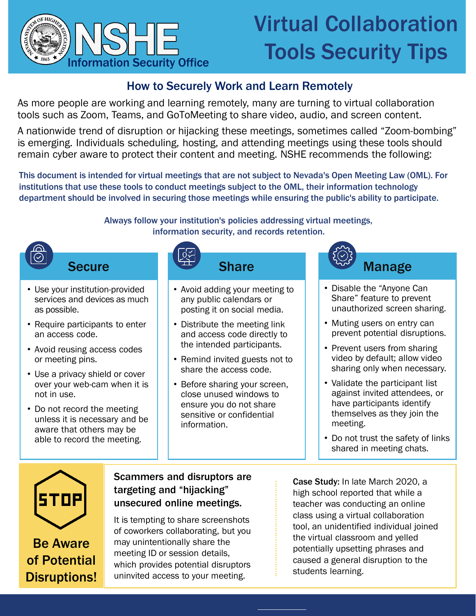

## Virtual Collaboration Tools Security Tips

## How to Securely Work and Learn Remotely

As more people are working and learning remotely, many are turning to virtual collaboration tools such as Zoom, Teams, and GoToMeeting to share video, audio, and screen content.

A nationwide trend of disruption or hijacking these meetings, sometimes called "Zoom-bombing" is emerging. Individuals scheduling, hosting, and attending meetings using these tools should remain cyber aware to protect their content and meeting. NSHE recommends the following:

This document is intended for virtual meetings that are not subject to Nevada's Open Meeting Law (OML). For institutions that use these tools to conduct meetings subject to the OML, their information technology department should be involved in securing those meetings while ensuring the public's ability to participate.

> Always follow your institution's policies addressing virtual meetings, information security, and records retention.



Be Aware of Potential Disruptions!

## unsecured online meetings.

It is tempting to share screenshots of coworkers collaborating, but you may unintentionally share the meeting ID or session details, which provides potential disruptors uninvited access to your meeting.

teacher was conducting an online class using a virtual collaboration tool, an unidentified individual joined the virtual classroom and yelled potentially upsetting phrases and caused a general disruption to the students learning.